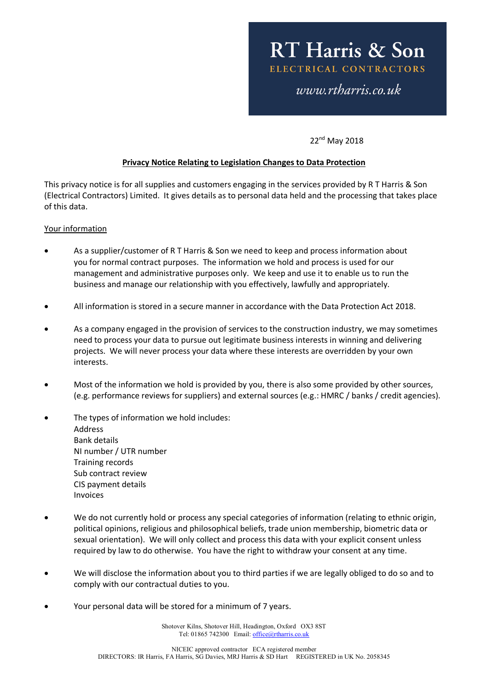22<sup>nd</sup> May 2018

## **Privacy Notice Relating to Legislation Changes to Data Protection**

This privacy notice is for all supplies and customers engaging in the services provided by R T Harris & Son (Electrical Contractors) Limited. It gives details as to personal data held and the processing that takes place of this data.

## Your information

- As a supplier/customer of R T Harris & Son we need to keep and process information about you for normal contract purposes. The information we hold and process is used for our management and administrative purposes only. We keep and use it to enable us to run the business and manage our relationship with you effectively, lawfully and appropriately.
- All information is stored in a secure manner in accordance with the Data Protection Act 2018.
- As a company engaged in the provision of services to the construction industry, we may sometimes need to process your data to pursue out legitimate business interests in winning and delivering projects. We will never process your data where these interests are overridden by your own interests.
- Most of the information we hold is provided by you, there is also some provided by other sources, (e.g. performance reviews for suppliers) and external sources (e.g.: HMRC / banks / credit agencies).
- The types of information we hold includes: Address Bank details NI number / UTR number Training records Sub contract review CIS payment details Invoices
- We do not currently hold or process any special categories of information (relating to ethnic origin, political opinions, religious and philosophical beliefs, trade union membership, biometric data or sexual orientation). We will only collect and process this data with your explicit consent unless required by law to do otherwise. You have the right to withdraw your consent at any time.
- We will disclose the information about you to third parties if we are legally obliged to do so and to comply with our contractual duties to you.
- Your personal data will be stored for a minimum of 7 years.